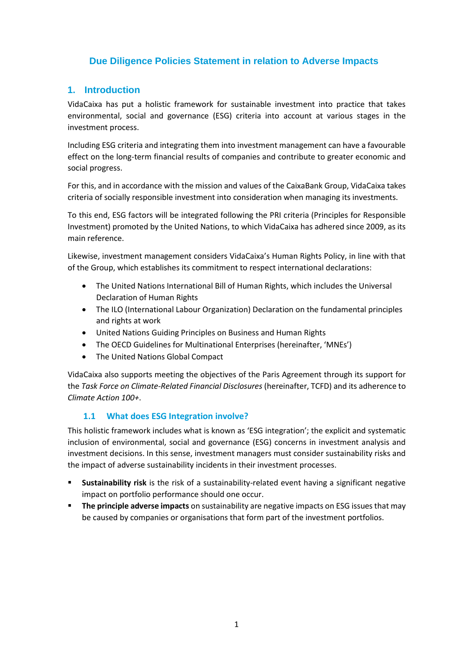# **Due Diligence Policies Statement in relation to Adverse Impacts**

## **1. Introduction**

VidaCaixa has put a holistic framework for sustainable investment into practice that takes environmental, social and governance (ESG) criteria into account at various stages in the investment process.

Including ESG criteria and integrating them into investment management can have a favourable effect on the long-term financial results of companies and contribute to greater economic and social progress.

For this, and in accordance with the mission and values of the CaixaBank Group, VidaCaixa takes criteria of socially responsible investment into consideration when managing its investments.

To this end, ESG factors will be integrated following the PRI criteria (Principles for Responsible Investment) promoted by the United Nations, to which VidaCaixa has adhered since 2009, as its main reference.

Likewise, investment management considers VidaCaixa's Human Rights Policy, in line with that of the Group, which establishes its commitment to respect international declarations:

- The United Nations International Bill of Human Rights, which includes the Universal Declaration of Human Rights
- The ILO (International Labour Organization) Declaration on the fundamental principles and rights at work
- United Nations Guiding Principles on Business and Human Rights
- The OECD Guidelines for Multinational Enterprises (hereinafter, 'MNEs')
- The United Nations Global Compact

VidaCaixa also supports meeting the objectives of the Paris Agreement through its support for the *Task Force on Climate-Related Financial Disclosures* (hereinafter, TCFD) and its adherence to *Climate Action 100+*.

#### **1.1 What does ESG Integration involve?**

This holistic framework includes what is known as 'ESG integration'; the explicit and systematic inclusion of environmental, social and governance (ESG) concerns in investment analysis and investment decisions. In this sense, investment managers must consider sustainability risks and the impact of adverse sustainability incidents in their investment processes.

- **Sustainability risk** is the risk of a sustainability-related event having a significant negative impact on portfolio performance should one occur.
- **The principle adverse impacts** on sustainability are negative impacts on ESG issues that may be caused by companies or organisations that form part of the investment portfolios.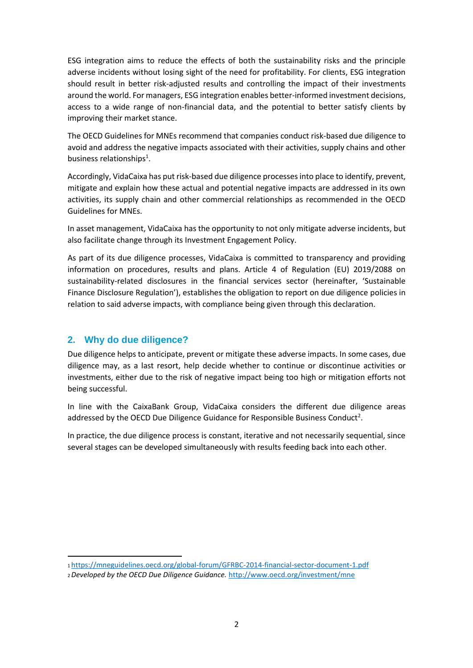ESG integration aims to reduce the effects of both the sustainability risks and the principle adverse incidents without losing sight of the need for profitability. For clients, ESG integration should result in better risk-adjusted results and controlling the impact of their investments around the world. For managers, ESG integration enables better-informed investment decisions, access to a wide range of non-financial data, and the potential to better satisfy clients by improving their market stance.

The OECD Guidelines for MNEs recommend that companies conduct risk-based due diligence to avoid and address the negative impacts associated with their activities, supply chains and other business relationships<sup>1</sup>.

Accordingly, VidaCaixa has put risk-based due diligence processes into place to identify, prevent, mitigate and explain how these actual and potential negative impacts are addressed in its own activities, its supply chain and other commercial relationships as recommended in the OECD Guidelines for MNEs.

In asset management, VidaCaixa has the opportunity to not only mitigate adverse incidents, but also facilitate change through its Investment Engagement Policy.

As part of its due diligence processes, VidaCaixa is committed to transparency and providing information on procedures, results and plans. Article 4 of Regulation (EU) 2019/2088 on sustainability-related disclosures in the financial services sector (hereinafter, 'Sustainable Finance Disclosure Regulation'), establishes the obligation to report on due diligence policies in relation to said adverse impacts, with compliance being given through this declaration.

## **2. Why do due diligence?**

Due diligence helps to anticipate, prevent or mitigate these adverse impacts. In some cases, due diligence may, as a last resort, help decide whether to continue or discontinue activities or investments, either due to the risk of negative impact being too high or mitigation efforts not being successful.

In line with the CaixaBank Group, VidaCaixa considers the different due diligence areas addressed by the OECD Due Diligence Guidance for Responsible Business Conduct<sup>2</sup>.

In practice, the due diligence process is constant, iterative and not necessarily sequential, since several stages can be developed simultaneously with results feeding back into each other.

<sup>1</sup><https://mneguidelines.oecd.org/global-forum/GFRBC-2014-financial-sector-document-1.pdf>

<sup>2</sup> *Developed by the OECD Due Diligence Guidance.* <http://www.oecd.org/investment/mne>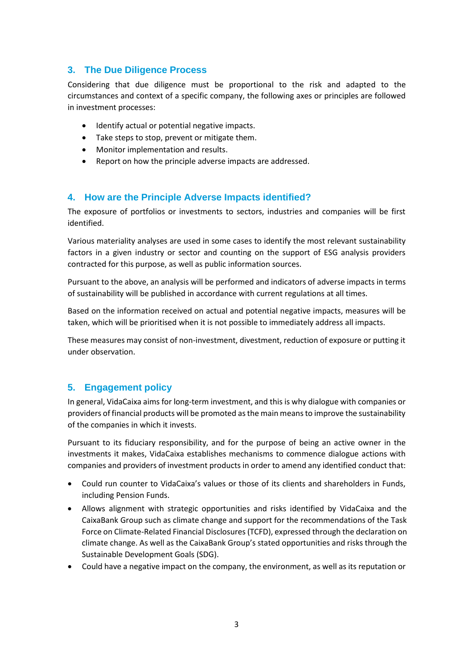## **3. The Due Diligence Process**

Considering that due diligence must be proportional to the risk and adapted to the circumstances and context of a specific company, the following axes or principles are followed in investment processes:

- Identify actual or potential negative impacts.
- Take steps to stop, prevent or mitigate them.
- Monitor implementation and results.
- Report on how the principle adverse impacts are addressed.

## **4. How are the Principle Adverse Impacts identified?**

The exposure of portfolios or investments to sectors, industries and companies will be first identified.

Various materiality analyses are used in some cases to identify the most relevant sustainability factors in a given industry or sector and counting on the support of ESG analysis providers contracted for this purpose, as well as public information sources.

Pursuant to the above, an analysis will be performed and indicators of adverse impacts in terms of sustainability will be published in accordance with current regulations at all times.

Based on the information received on actual and potential negative impacts, measures will be taken, which will be prioritised when it is not possible to immediately address all impacts.

These measures may consist of non-investment, divestment, reduction of exposure or putting it under observation.

## **5. Engagement policy**

In general, VidaCaixa aims for long-term investment, and this is why dialogue with companies or providers of financial products will be promoted as the main means to improve the sustainability of the companies in which it invests.

Pursuant to its fiduciary responsibility, and for the purpose of being an active owner in the investments it makes, VidaCaixa establishes mechanisms to commence dialogue actions with companies and providers of investment products in order to amend any identified conduct that:

- Could run counter to VidaCaixa's values or those of its clients and shareholders in Funds, including Pension Funds.
- Allows alignment with strategic opportunities and risks identified by VidaCaixa and the CaixaBank Group such as climate change and support for the recommendations of the Task Force on Climate-Related Financial Disclosures (TCFD), expressed through the declaration on climate change. As well as the CaixaBank Group's stated opportunities and risks through the Sustainable Development Goals (SDG).
- Could have a negative impact on the company, the environment, as well as its reputation or